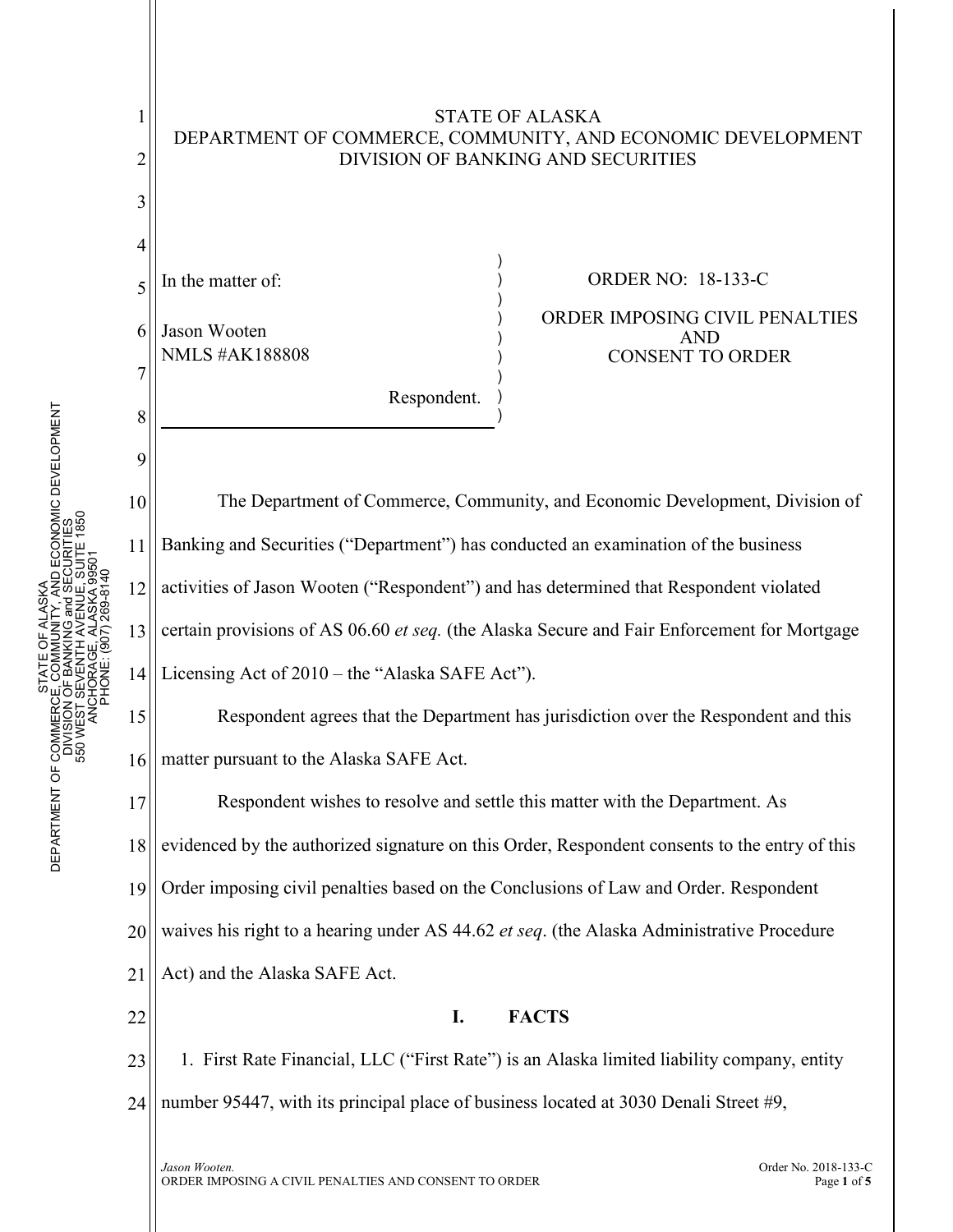

STATE OF ALASKA

1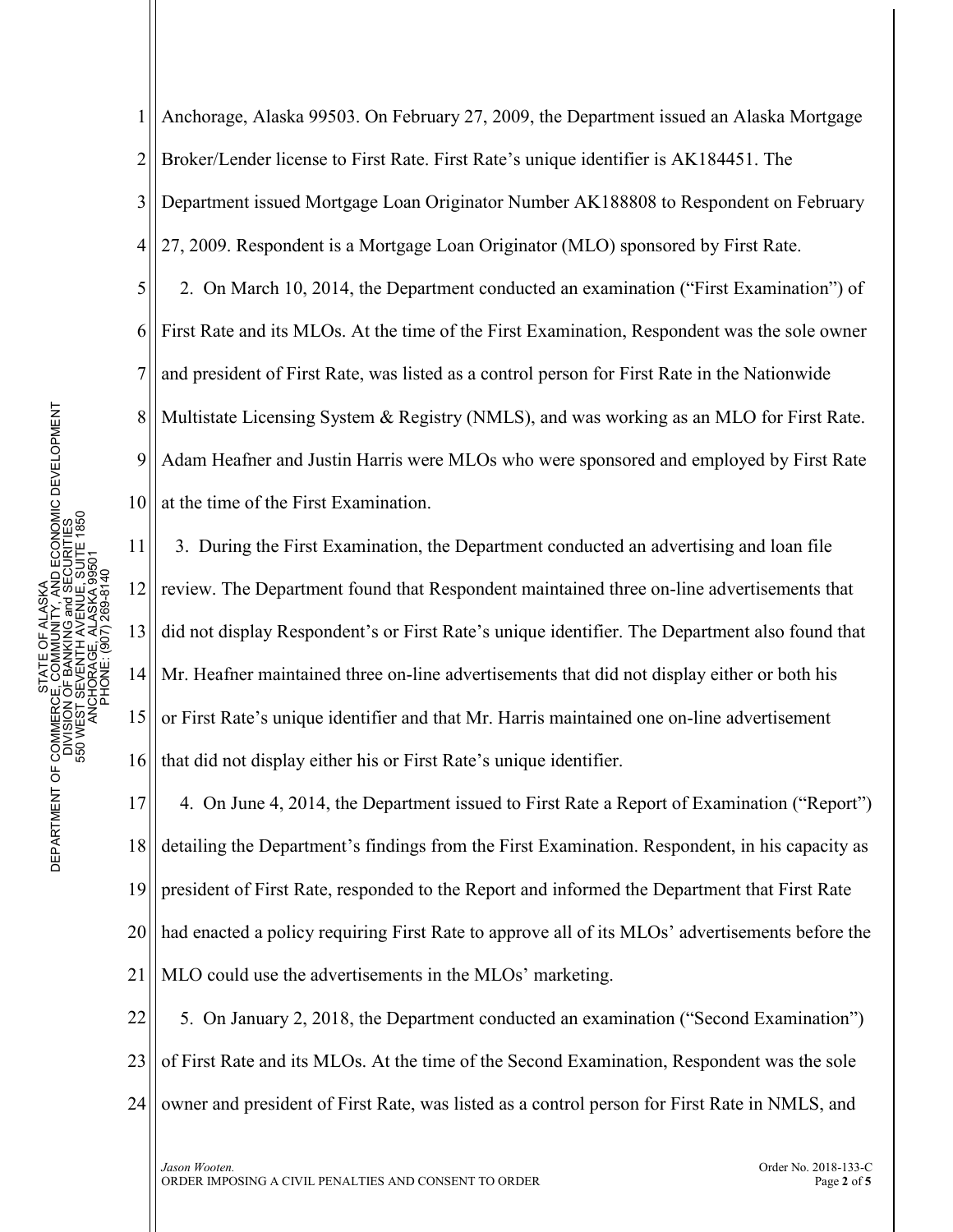1 2 3 4 5 Anchorage, Alaska 99503. On February 27, 2009, the Department issued an Alaska Mortgage Broker/Lender license to First Rate. First Rate's unique identifier is AK184451. The Department issued Mortgage Loan Originator Number AK188808 to Respondent on February 27, 2009. Respondent is a Mortgage Loan Originator (MLO) sponsored by First Rate. 2. On March 10, 2014, the Department conducted an examination ("First Examination") of

6 7 8 9 10 First Rate and its MLOs. At the time of the First Examination, Respondent was the sole owner and president of First Rate, was listed as a control person for First Rate in the Nationwide Multistate Licensing System & Registry (NMLS), and was working as an MLO for First Rate. Adam Heafner and Justin Harris were MLOs who were sponsored and employed by First Rate at the time of the First Examination.

11 12 13 14 15 16 3. During the First Examination, the Department conducted an advertising and loan file review. The Department found that Respondent maintained three on-line advertisements that did not display Respondent's or First Rate's unique identifier. The Department also found that Mr. Heafner maintained three on-line advertisements that did not display either or both his or First Rate's unique identifier and that Mr. Harris maintained one on-line advertisement that did not display either his or First Rate's unique identifier.

17 18 19 20 21 4. On June 4, 2014, the Department issued to First Rate a Report of Examination ("Report") detailing the Department's findings from the First Examination. Respondent, in his capacity as president of First Rate, responded to the Report and informed the Department that First Rate had enacted a policy requiring First Rate to approve all of its MLOs' advertisements before the MLO could use the advertisements in the MLOs' marketing.

22 23 24 5. On January 2, 2018, the Department conducted an examination ("Second Examination") of First Rate and its MLOs. At the time of the Second Examination, Respondent was the sole owner and president of First Rate, was listed as a control person for First Rate in NMLS, and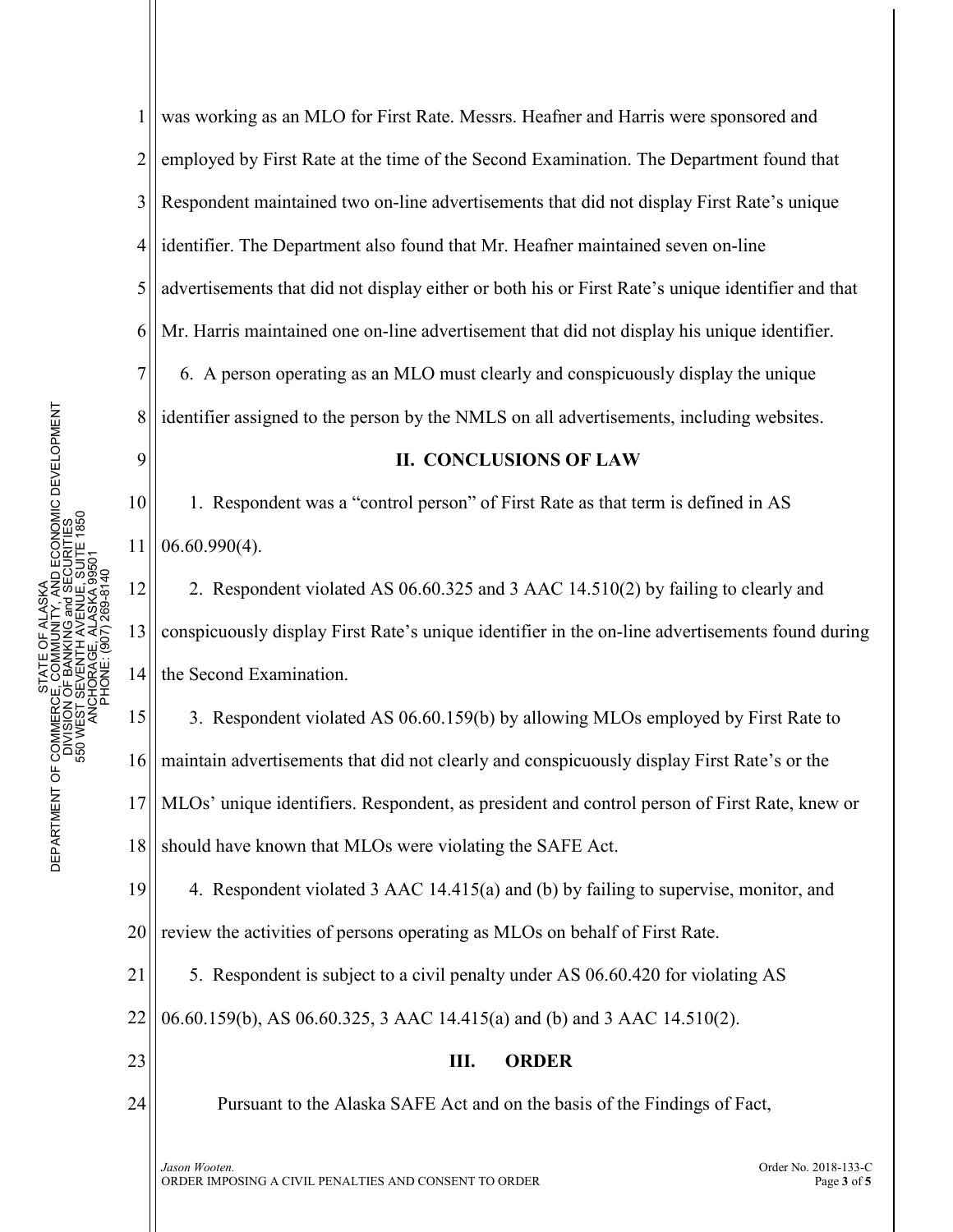9

11

1 2 3 4 5 6 7 8 was working as an MLO for First Rate. Messrs. Heafner and Harris were sponsored and employed by First Rate at the time of the Second Examination. The Department found that Respondent maintained two on-line advertisements that did not display First Rate's unique identifier. The Department also found that Mr. Heafner maintained seven on-line advertisements that did not display either or both his or First Rate's unique identifier and that Mr. Harris maintained one on-line advertisement that did not display his unique identifier. 6. A person operating as an MLO must clearly and conspicuously display the unique identifier assigned to the person by the NMLS on all advertisements, including websites.

## **II. CONCLUSIONS OF LAW**

10 1. Respondent was a "control person" of First Rate as that term is defined in AS 06.60.990(4).

12 13 14 2. Respondent violated AS 06.60.325 and 3 AAC 14.510(2) by failing to clearly and conspicuously display First Rate's unique identifier in the on-line advertisements found during the Second Examination.

15 16 17 18 3. Respondent violated AS 06.60.159(b) by allowing MLOs employed by First Rate to maintain advertisements that did not clearly and conspicuously display First Rate's or the MLOs' unique identifiers. Respondent, as president and control person of First Rate, knew or should have known that MLOs were violating the SAFE Act.

19 20 4. Respondent violated 3 AAC 14.415(a) and (b) by failing to supervise, monitor, and review the activities of persons operating as MLOs on behalf of First Rate.

21 5. Respondent is subject to a civil penalty under AS 06.60.420 for violating AS

22 06.60.159(b), AS 06.60.325, 3 AAC 14.415(a) and (b) and 3 AAC 14.510(2).

23

24

**III. ORDER**

Pursuant to the Alaska SAFE Act and on the basis of the Findings of Fact,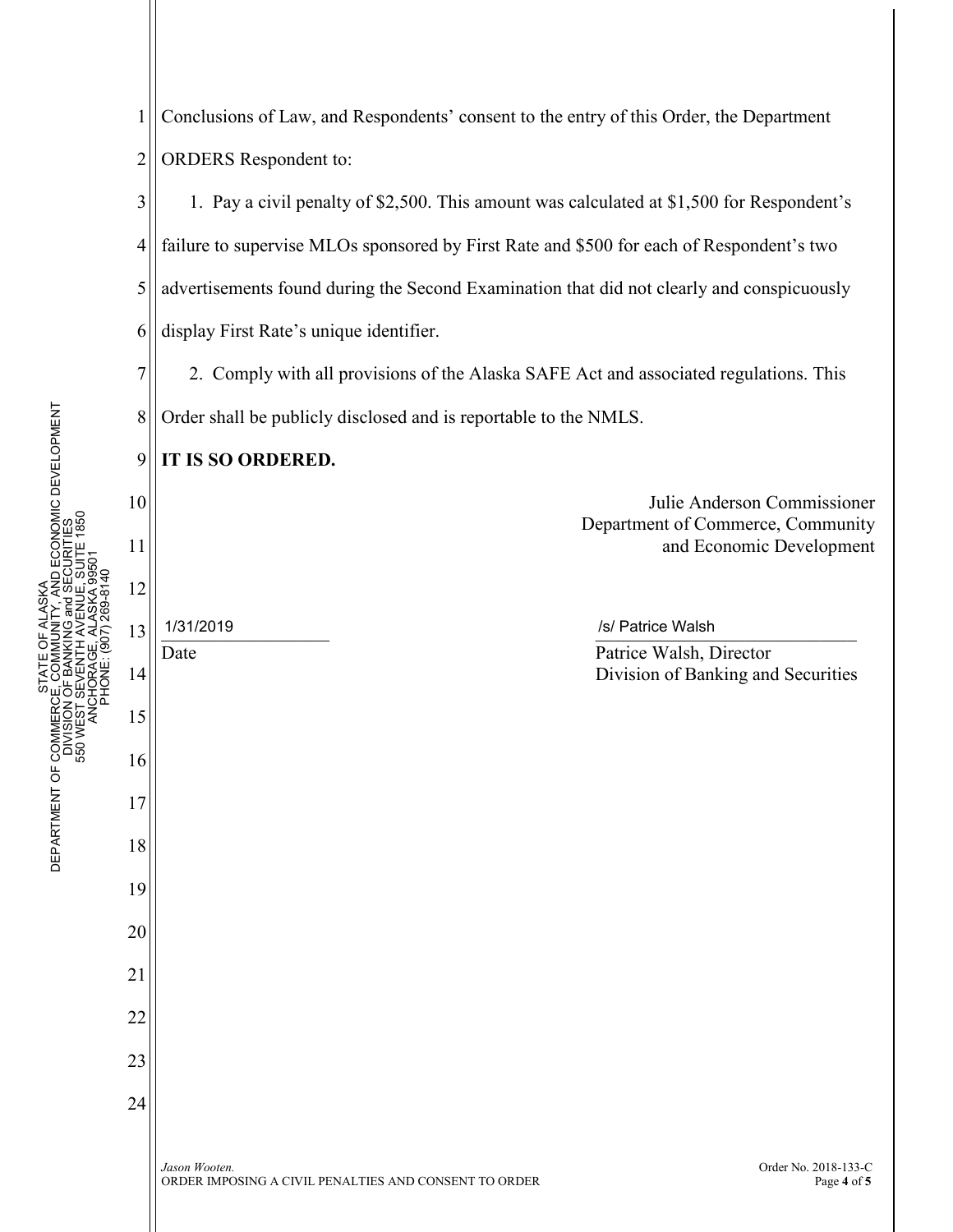

1 2 Conclusions of Law, and Respondents' consent to the entry of this Order, the Department ORDERS Respondent to: